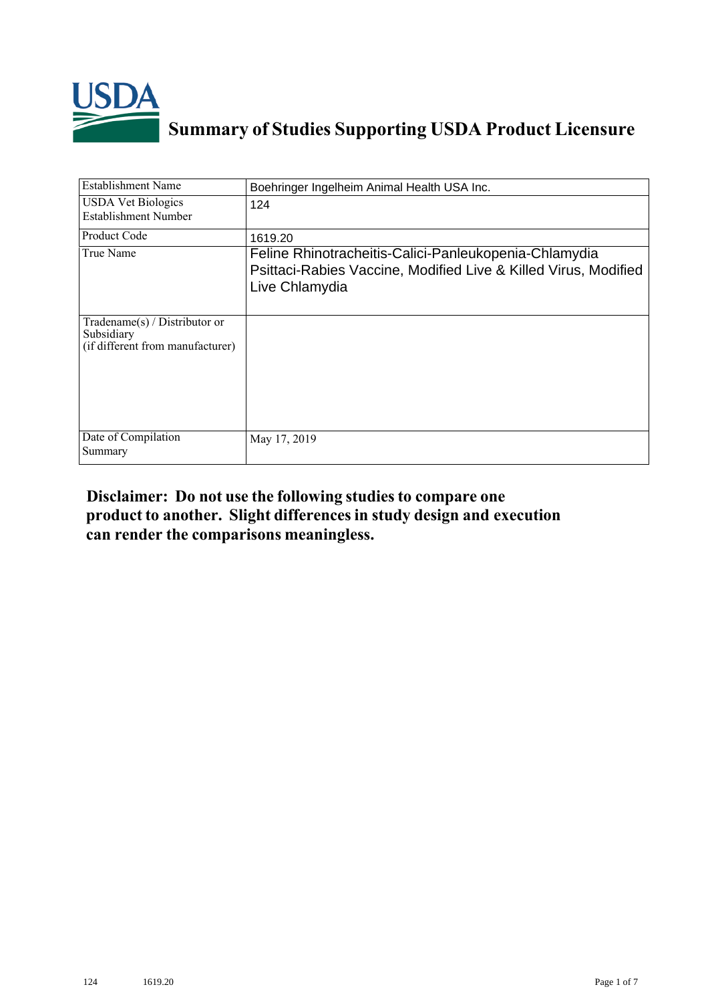

## **Summary of Studies Supporting USDA Product Licensure**

| <b>Establishment Name</b>                                                         | Boehringer Ingelheim Animal Health USA Inc.                                                                                                |
|-----------------------------------------------------------------------------------|--------------------------------------------------------------------------------------------------------------------------------------------|
| <b>USDA Vet Biologics</b><br><b>Establishment Number</b>                          | 124                                                                                                                                        |
| Product Code                                                                      | 1619.20                                                                                                                                    |
| True Name                                                                         | Feline Rhinotracheitis-Calici-Panleukopenia-Chlamydia<br>Psittaci-Rabies Vaccine, Modified Live & Killed Virus, Modified<br>Live Chlamydia |
| $Tradename(s) / Distributor$ or<br>Subsidiary<br>(if different from manufacturer) |                                                                                                                                            |
| Date of Compilation<br>Summary                                                    | May 17, 2019                                                                                                                               |

## **Disclaimer: Do not use the following studiesto compare one product to another. Slight differencesin study design and execution can render the comparisons meaningless.**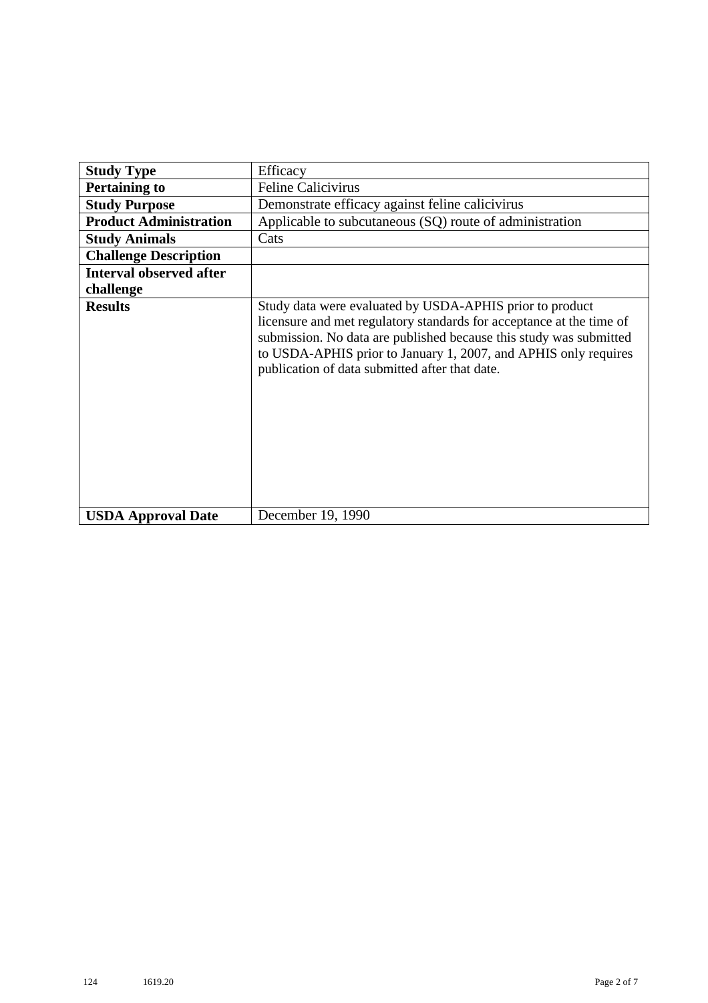| <b>Study Type</b>              | Efficacy                                                                                                                                                                                                                                                                                                                    |
|--------------------------------|-----------------------------------------------------------------------------------------------------------------------------------------------------------------------------------------------------------------------------------------------------------------------------------------------------------------------------|
| <b>Pertaining to</b>           | <b>Feline Calicivirus</b>                                                                                                                                                                                                                                                                                                   |
|                                |                                                                                                                                                                                                                                                                                                                             |
| <b>Study Purpose</b>           | Demonstrate efficacy against feline calicivirus                                                                                                                                                                                                                                                                             |
| <b>Product Administration</b>  | Applicable to subcutaneous (SQ) route of administration                                                                                                                                                                                                                                                                     |
| <b>Study Animals</b>           | Cats                                                                                                                                                                                                                                                                                                                        |
| <b>Challenge Description</b>   |                                                                                                                                                                                                                                                                                                                             |
| <b>Interval observed after</b> |                                                                                                                                                                                                                                                                                                                             |
| challenge                      |                                                                                                                                                                                                                                                                                                                             |
| <b>Results</b>                 | Study data were evaluated by USDA-APHIS prior to product<br>licensure and met regulatory standards for acceptance at the time of<br>submission. No data are published because this study was submitted<br>to USDA-APHIS prior to January 1, 2007, and APHIS only requires<br>publication of data submitted after that date. |
| <b>USDA Approval Date</b>      | December 19, 1990                                                                                                                                                                                                                                                                                                           |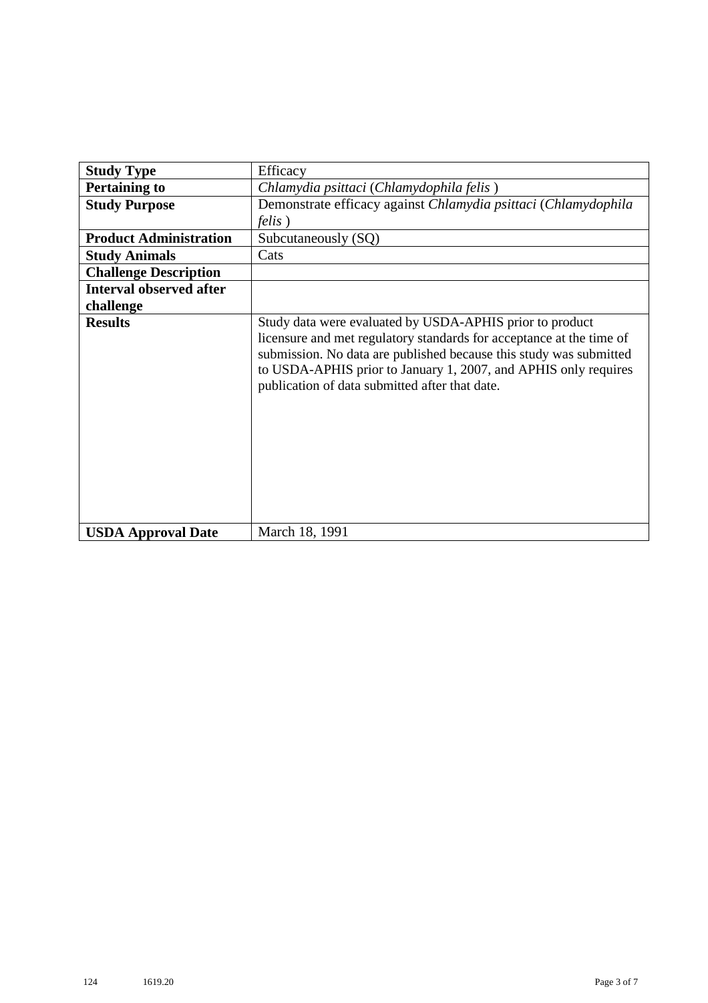| <b>Study Type</b>              | Efficacy                                                                                                                                                                                                                                                                                                                    |
|--------------------------------|-----------------------------------------------------------------------------------------------------------------------------------------------------------------------------------------------------------------------------------------------------------------------------------------------------------------------------|
| <b>Pertaining to</b>           | Chlamydia psittaci (Chlamydophila felis)                                                                                                                                                                                                                                                                                    |
| <b>Study Purpose</b>           | Demonstrate efficacy against Chlamydia psittaci (Chlamydophila                                                                                                                                                                                                                                                              |
|                                | <i>felis</i> )                                                                                                                                                                                                                                                                                                              |
| <b>Product Administration</b>  | Subcutaneously (SQ)                                                                                                                                                                                                                                                                                                         |
| <b>Study Animals</b>           | Cats                                                                                                                                                                                                                                                                                                                        |
| <b>Challenge Description</b>   |                                                                                                                                                                                                                                                                                                                             |
| <b>Interval observed after</b> |                                                                                                                                                                                                                                                                                                                             |
| challenge                      |                                                                                                                                                                                                                                                                                                                             |
| <b>Results</b>                 | Study data were evaluated by USDA-APHIS prior to product<br>licensure and met regulatory standards for acceptance at the time of<br>submission. No data are published because this study was submitted<br>to USDA-APHIS prior to January 1, 2007, and APHIS only requires<br>publication of data submitted after that date. |
| <b>USDA Approval Date</b>      | March 18, 1991                                                                                                                                                                                                                                                                                                              |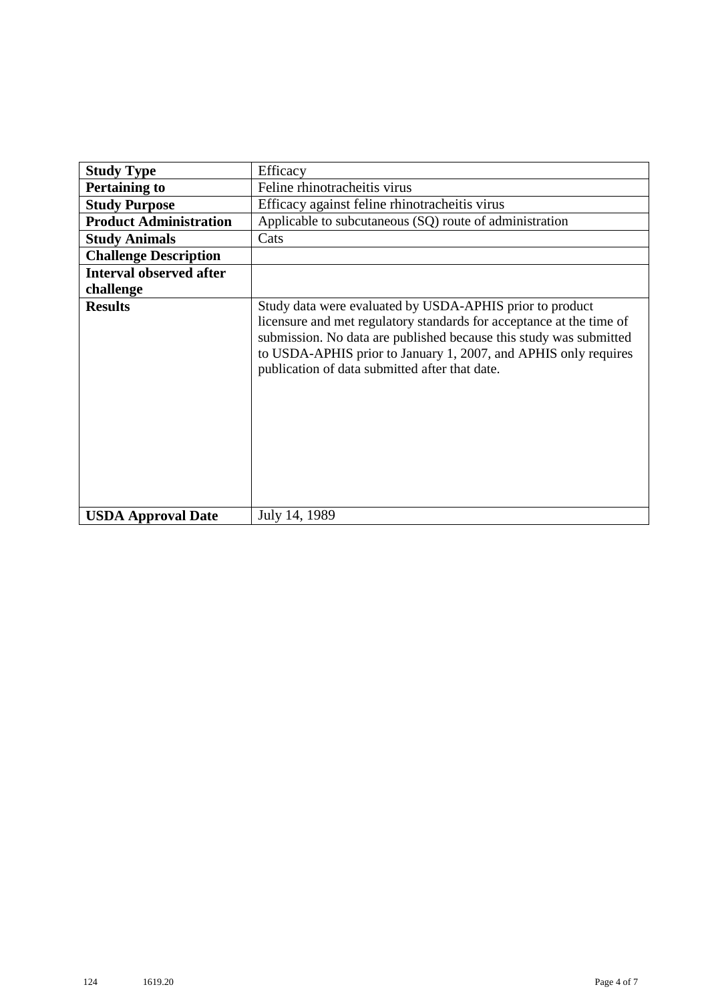| <b>Study Type</b>              | Efficacy                                                                                                                                                                                                                                                                                                                    |
|--------------------------------|-----------------------------------------------------------------------------------------------------------------------------------------------------------------------------------------------------------------------------------------------------------------------------------------------------------------------------|
|                                |                                                                                                                                                                                                                                                                                                                             |
| <b>Pertaining to</b>           | Feline rhinotracheitis virus                                                                                                                                                                                                                                                                                                |
| <b>Study Purpose</b>           | Efficacy against feline rhinotracheitis virus                                                                                                                                                                                                                                                                               |
| <b>Product Administration</b>  | Applicable to subcutaneous (SQ) route of administration                                                                                                                                                                                                                                                                     |
| <b>Study Animals</b>           | Cats                                                                                                                                                                                                                                                                                                                        |
| <b>Challenge Description</b>   |                                                                                                                                                                                                                                                                                                                             |
| <b>Interval observed after</b> |                                                                                                                                                                                                                                                                                                                             |
| challenge                      |                                                                                                                                                                                                                                                                                                                             |
| <b>Results</b>                 | Study data were evaluated by USDA-APHIS prior to product<br>licensure and met regulatory standards for acceptance at the time of<br>submission. No data are published because this study was submitted<br>to USDA-APHIS prior to January 1, 2007, and APHIS only requires<br>publication of data submitted after that date. |
| <b>USDA Approval Date</b>      | July 14, 1989                                                                                                                                                                                                                                                                                                               |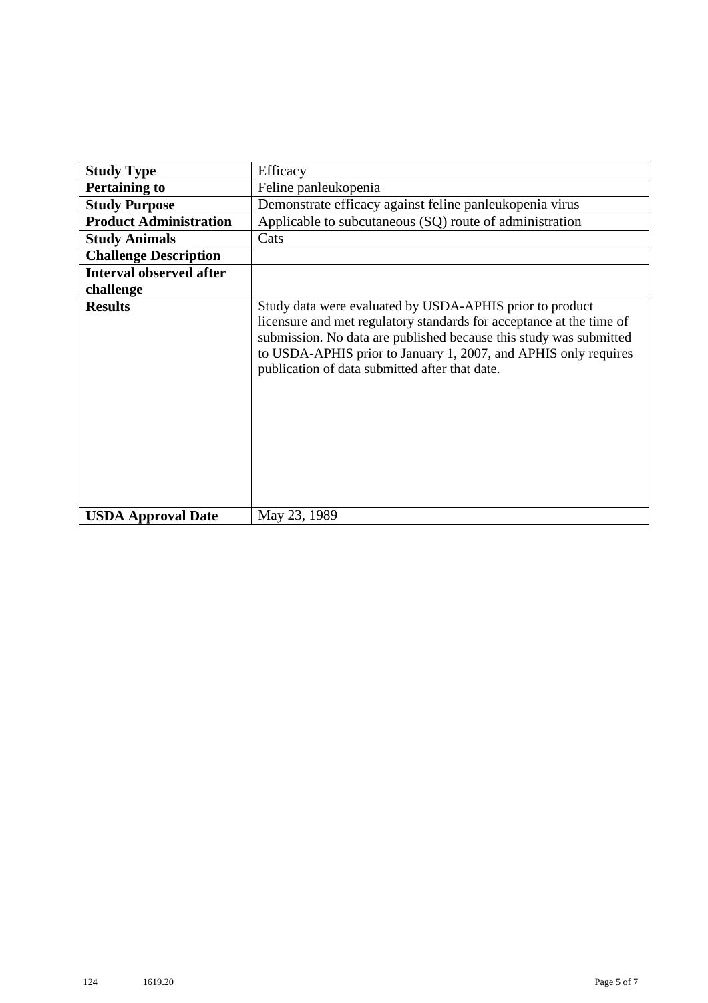| <b>Study Type</b>              | Efficacy                                                                                                                                                                                                                                                                                                                    |
|--------------------------------|-----------------------------------------------------------------------------------------------------------------------------------------------------------------------------------------------------------------------------------------------------------------------------------------------------------------------------|
| <b>Pertaining to</b>           | Feline panleukopenia                                                                                                                                                                                                                                                                                                        |
| <b>Study Purpose</b>           | Demonstrate efficacy against feline panleukopenia virus                                                                                                                                                                                                                                                                     |
| <b>Product Administration</b>  | Applicable to subcutaneous (SQ) route of administration                                                                                                                                                                                                                                                                     |
| <b>Study Animals</b>           | Cats                                                                                                                                                                                                                                                                                                                        |
| <b>Challenge Description</b>   |                                                                                                                                                                                                                                                                                                                             |
| <b>Interval observed after</b> |                                                                                                                                                                                                                                                                                                                             |
| challenge                      |                                                                                                                                                                                                                                                                                                                             |
| <b>Results</b>                 | Study data were evaluated by USDA-APHIS prior to product<br>licensure and met regulatory standards for acceptance at the time of<br>submission. No data are published because this study was submitted<br>to USDA-APHIS prior to January 1, 2007, and APHIS only requires<br>publication of data submitted after that date. |
| <b>USDA Approval Date</b>      | May 23, 1989                                                                                                                                                                                                                                                                                                                |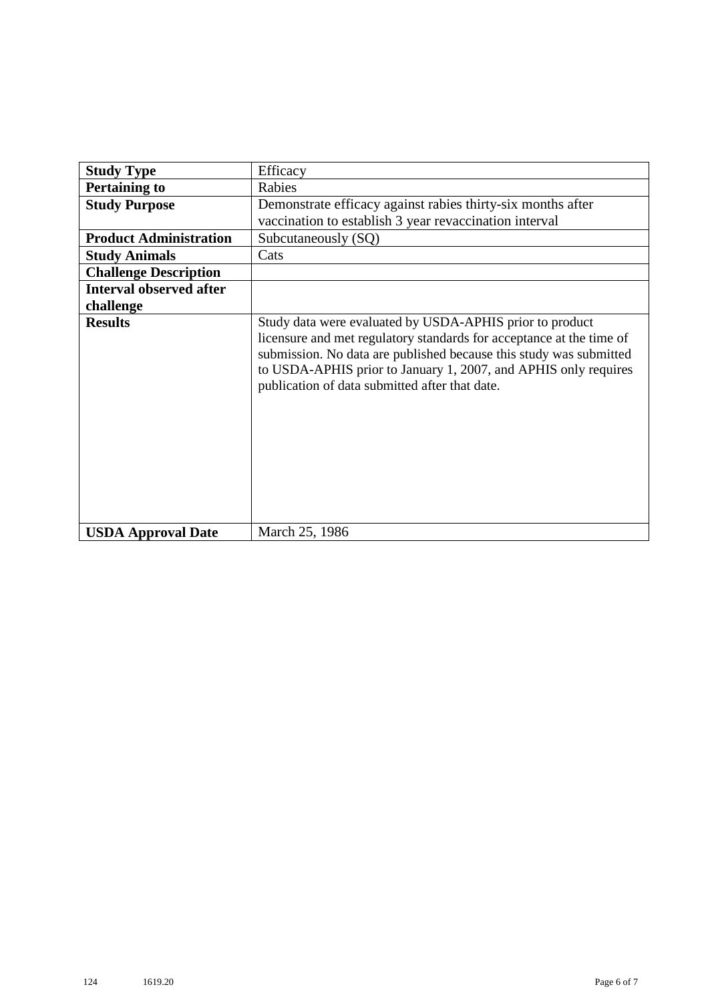| <b>Study Type</b>              | Efficacy                                                                                                                                                                                                                                                                                                                    |
|--------------------------------|-----------------------------------------------------------------------------------------------------------------------------------------------------------------------------------------------------------------------------------------------------------------------------------------------------------------------------|
| <b>Pertaining to</b>           | Rabies                                                                                                                                                                                                                                                                                                                      |
| <b>Study Purpose</b>           | Demonstrate efficacy against rabies thirty-six months after<br>vaccination to establish 3 year revaccination interval                                                                                                                                                                                                       |
| <b>Product Administration</b>  | Subcutaneously (SQ)                                                                                                                                                                                                                                                                                                         |
| <b>Study Animals</b>           | Cats                                                                                                                                                                                                                                                                                                                        |
| <b>Challenge Description</b>   |                                                                                                                                                                                                                                                                                                                             |
| <b>Interval observed after</b> |                                                                                                                                                                                                                                                                                                                             |
| challenge                      |                                                                                                                                                                                                                                                                                                                             |
| <b>Results</b>                 | Study data were evaluated by USDA-APHIS prior to product<br>licensure and met regulatory standards for acceptance at the time of<br>submission. No data are published because this study was submitted<br>to USDA-APHIS prior to January 1, 2007, and APHIS only requires<br>publication of data submitted after that date. |
| <b>USDA Approval Date</b>      | March 25, 1986                                                                                                                                                                                                                                                                                                              |